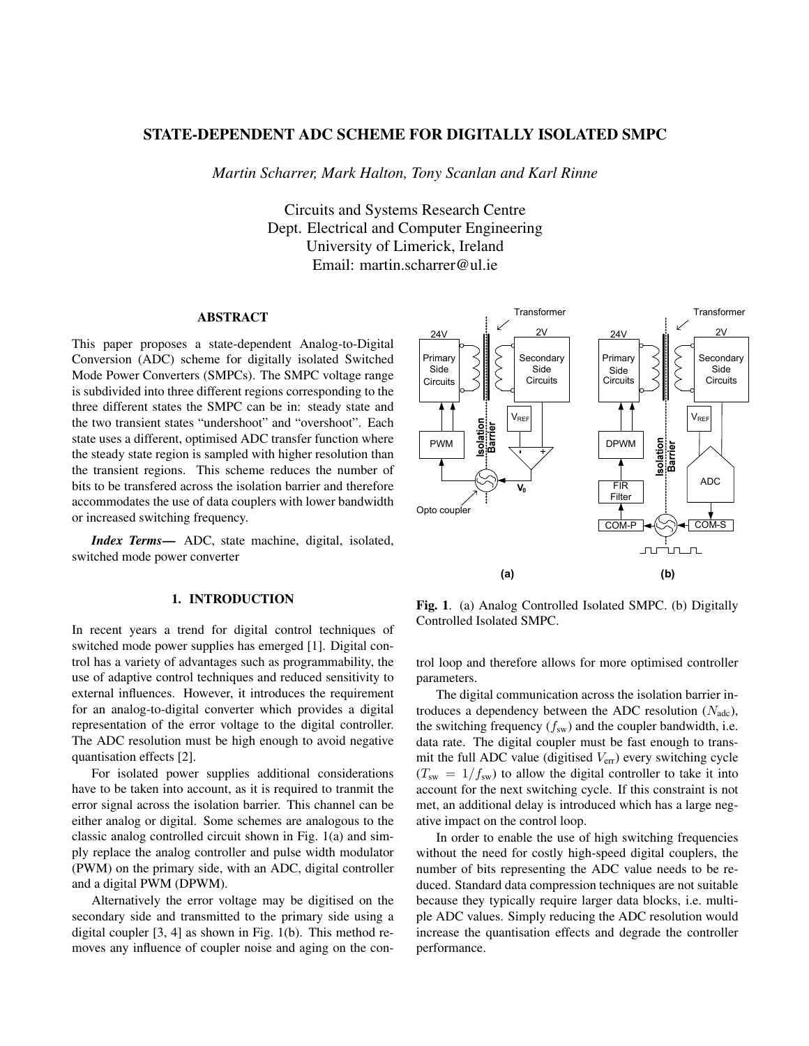# STATE-DEPENDENT ADC SCHEME FOR DIGITALLY ISOLATED SMPC

*Martin Scharrer, Mark Halton, Tony Scanlan and Karl Rinne*

Circuits and Systems Research Centre Dept. Electrical and Computer Engineering University of Limerick, Ireland Email: martin.scharrer@ul.ie

## ABSTRACT

This paper proposes a state-dependent Analog-to-Digital Conversion (ADC) scheme for digitally isolated Switched Mode Power Converters (SMPCs). The SMPC voltage range is subdivided into three different regions corresponding to the three different states the SMPC can be in: steady state and the two transient states "undershoot" and "overshoot". Each state uses a different, optimised ADC transfer function where the steady state region is sampled with higher resolution than the transient regions. This scheme reduces the number of bits to be transfered across the isolation barrier and therefore accommodates the use of data couplers with lower bandwidth or increased switching frequency.

*Index Terms*— ADC, state machine, digital, isolated, switched mode power converter

# 1. INTRODUCTION

In recent years a trend for digital control techniques of switched mode power supplies has emerged [1]. Digital control has a variety of advantages such as programmability, the use of adaptive control techniques and reduced sensitivity to external influences. However, it introduces the requirement for an analog-to-digital converter which provides a digital representation of the error voltage to the digital controller. The ADC resolution must be high enough to avoid negative quantisation effects [2].

For isolated power supplies additional considerations have to be taken into account, as it is required to tranmit the error signal across the isolation barrier. This channel can be either analog or digital. Some schemes are analogous to the classic analog controlled circuit shown in Fig. 1(a) and simply replace the analog controller and pulse width modulator (PWM) on the primary side, with an ADC, digital controller and a digital PWM (DPWM).

Alternatively the error voltage may be digitised on the secondary side and transmitted to the primary side using a digital coupler [3, 4] as shown in Fig. 1(b). This method removes any influence of coupler noise and aging on the con-



Fig. 1. (a) Analog Controlled Isolated SMPC. (b) Digitally Controlled Isolated SMPC.

trol loop and therefore allows for more optimised controller parameters.

The digital communication across the isolation barrier introduces a dependency between the ADC resolution  $(N_{\text{adc}})$ , the switching frequency  $(f_{sw})$  and the coupler bandwidth, i.e. data rate. The digital coupler must be fast enough to transmit the full ADC value (digitised  $V_{\text{err}}$ ) every switching cycle  $(T_{sw} = 1/f_{sw})$  to allow the digital controller to take it into account for the next switching cycle. If this constraint is not met, an additional delay is introduced which has a large negative impact on the control loop.

In order to enable the use of high switching frequencies without the need for costly high-speed digital couplers, the number of bits representing the ADC value needs to be reduced. Standard data compression techniques are not suitable because they typically require larger data blocks, i.e. multiple ADC values. Simply reducing the ADC resolution would increase the quantisation effects and degrade the controller performance.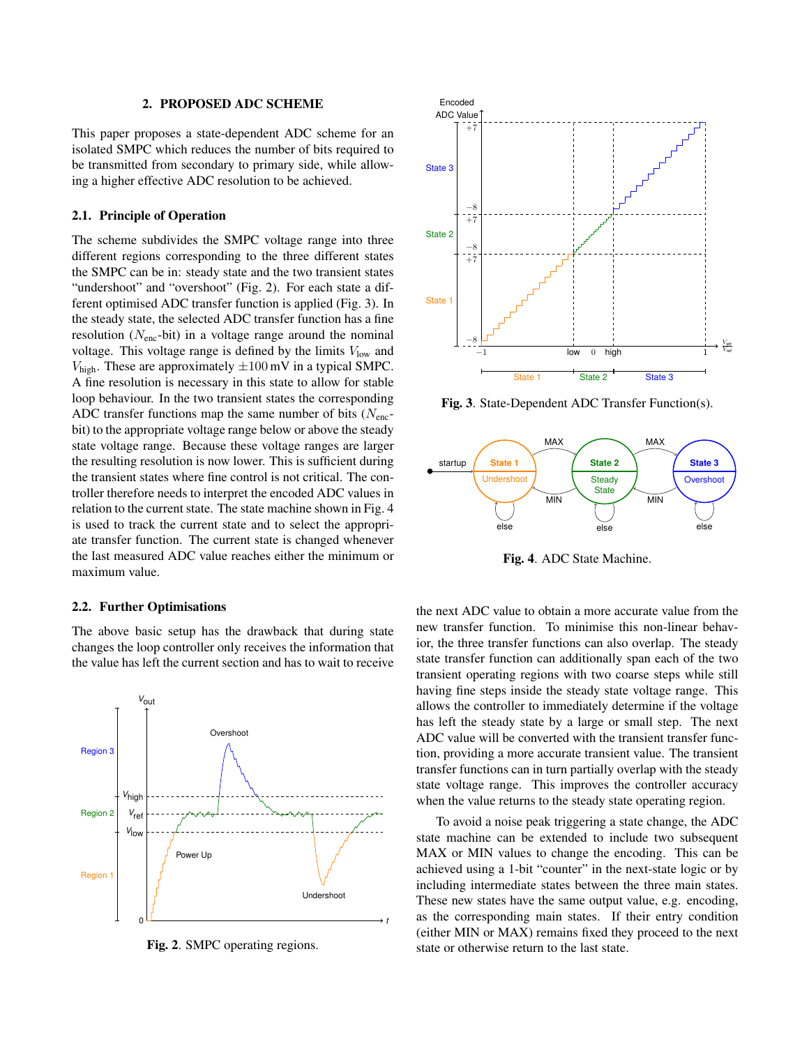### 2. PROPOSED ADC SCHEME

This paper proposes a state-dependent ADC scheme for an isolated SMPC which reduces the number of bits required to be transmitted from secondary to primary side, while allowing a higher effective ADC resolution to be achieved.

### 2.1. Principle of Operation

The scheme subdivides the SMPC voltage range into three different regions corresponding to the three different states the SMPC can be in: steady state and the two transient states "undershoot" and "overshoot" (Fig. 2). For each state a different optimised ADC transfer function is applied (Fig. 3). In the steady state, the selected ADC transfer function has a fine resolution ( $N<sub>enc</sub>$ -bit) in a voltage range around the nominal voltage. This voltage range is defined by the limits  $V_{\text{low}}$  and  $V_{\text{high}}$ . These are approximately  $\pm 100 \,\text{mV}$  in a typical SMPC. A fine resolution is necessary in this state to allow for stable loop behaviour. In the two transient states the corresponding ADC transfer functions map the same number of bits  $(N_{\text{enc}}$ bit) to the appropriate voltage range below or above the steady state voltage range. Because these voltage ranges are larger the resulting resolution is now lower. This is sufficient during the transient states where fine control is not critical. The controller therefore needs to interpret the encoded ADC values in relation to the current state. The state machine shown in Fig. 4 is used to track the current state and to select the appropriate transfer function. The current state is changed whenever the last measured ADC value reaches either the minimum or maximum value.

### 2.2. Further Optimisations

The above basic setup has the drawback that during state changes the loop controller only receives the information that the value has left the current section and has to wait to receive



Fig. 2. SMPC operating regions.



Fig. 3. State-Dependent ADC Transfer Function(s).



Fig. 4. ADC State Machine.

the next ADC value to obtain a more accurate value from the new transfer function. To minimise this non-linear behavior, the three transfer functions can also overlap. The steady state transfer function can additionally span each of the two transient operating regions with two coarse steps while still having fine steps inside the steady state voltage range. This allows the controller to immediately determine if the voltage has left the steady state by a large or small step. The next ADC value will be converted with the transient transfer function, providing a more accurate transient value. The transient transfer functions can in turn partially overlap with the steady state voltage range. This improves the controller accuracy when the value returns to the steady state operating region.

To avoid a noise peak triggering a state change, the ADC state machine can be extended to include two subsequent MAX or MIN values to change the encoding. This can be achieved using a 1-bit "counter" in the next-state logic or by including intermediate states between the three main states. These new states have the same output value, e.g. encoding, as the corresponding main states. If their entry condition (either MIN or MAX) remains fixed they proceed to the next state or otherwise return to the last state.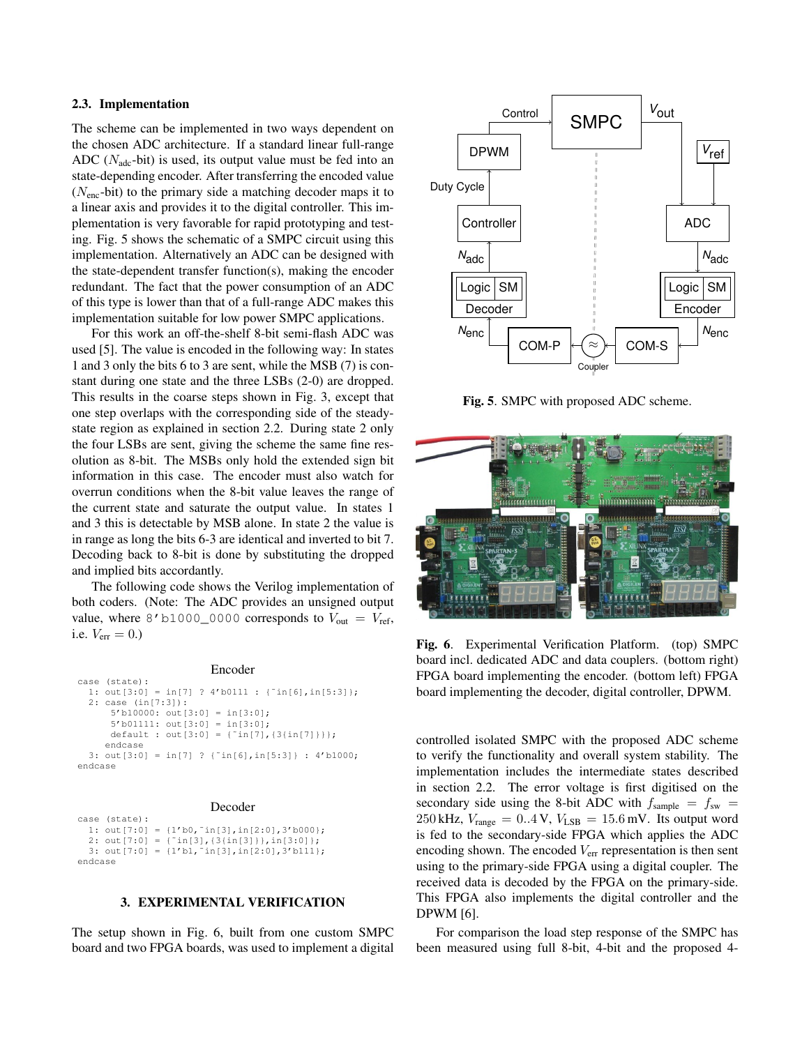### 2.3. Implementation

The scheme can be implemented in two ways dependent on the chosen ADC architecture. If a standard linear full-range ADC ( $N_{\text{adc}}$ -bit) is used, its output value must be fed into an state-depending encoder. After transferring the encoded value  $(N<sub>enc</sub>-bit)$  to the primary side a matching decoder maps it to a linear axis and provides it to the digital controller. This implementation is very favorable for rapid prototyping and testing. Fig. 5 shows the schematic of a SMPC circuit using this implementation. Alternatively an ADC can be designed with the state-dependent transfer function(s), making the encoder redundant. The fact that the power consumption of an ADC of this type is lower than that of a full-range ADC makes this implementation suitable for low power SMPC applications.

For this work an off-the-shelf 8-bit semi-flash ADC was used [5]. The value is encoded in the following way: In states 1 and 3 only the bits 6 to 3 are sent, while the MSB (7) is constant during one state and the three LSBs (2-0) are dropped. This results in the coarse steps shown in Fig. 3, except that one step overlaps with the corresponding side of the steadystate region as explained in section 2.2. During state 2 only the four LSBs are sent, giving the scheme the same fine resolution as 8-bit. The MSBs only hold the extended sign bit information in this case. The encoder must also watch for overrun conditions when the 8-bit value leaves the range of the current state and saturate the output value. In states 1 and 3 this is detectable by MSB alone. In state 2 the value is in range as long the bits 6-3 are identical and inverted to bit 7. Decoding back to 8-bit is done by substituting the dropped and implied bits accordantly.

The following code shows the Verilog implementation of both coders. (Note: The ADC provides an unsigned output value, where 8'b1000\_0000 corresponds to  $V_{\text{out}} = V_{\text{ref}}$ , i.e.  $V_{\text{err}} = 0.$ )

#### Encoder

```
case (state):
  1: out[3:0] = in[7] ? 4'b0111 : {'in[6], in[5:3]};2: case (in[7:3]):
      5'b10000: out[3:0] = in[3:0];
      5'b01111: out[3:0] = in[3:0];
      default : out[3:0] = {˜in[7],{3{in[7]}}};
     endcase
 3: out[3:0] = in[7] ? {˜in[6],in[5:3]} : 4'b1000;
endcase
```
### Decoder

case (state): 1:  $out[7:0] = {1'b0, 'in[3], in[2:0], 3'b000};$ 2:  $out[7:0] = {^{\sim}in[3], {3,in[3]}}; in[3:0]};$ 3:  $out[7:0] = {1'b1, 'in[3], in[2:0], 3'b111};$ endcase

# 3. EXPERIMENTAL VERIFICATION

The setup shown in Fig. 6, built from one custom SMPC board and two FPGA boards, was used to implement a digital



Fig. 5. SMPC with proposed ADC scheme.



Fig. 6. Experimental Verification Platform. (top) SMPC board incl. dedicated ADC and data couplers. (bottom right) FPGA board implementing the encoder. (bottom left) FPGA board implementing the decoder, digital controller, DPWM.

controlled isolated SMPC with the proposed ADC scheme to verify the functionality and overall system stability. The implementation includes the intermediate states described in section 2.2. The error voltage is first digitised on the secondary side using the 8-bit ADC with  $f_{\text{sample}} = f_{\text{sw}} =$  $250$  kHz,  $V_{\text{range}} = 0.4$  V,  $V_{\text{LSB}} = 15.6$  mV. Its output word is fed to the secondary-side FPGA which applies the ADC encoding shown. The encoded  $V_{\text{err}}$  representation is then sent using to the primary-side FPGA using a digital coupler. The received data is decoded by the FPGA on the primary-side. This FPGA also implements the digital controller and the DPWM [6].

For comparison the load step response of the SMPC has been measured using full 8-bit, 4-bit and the proposed 4-